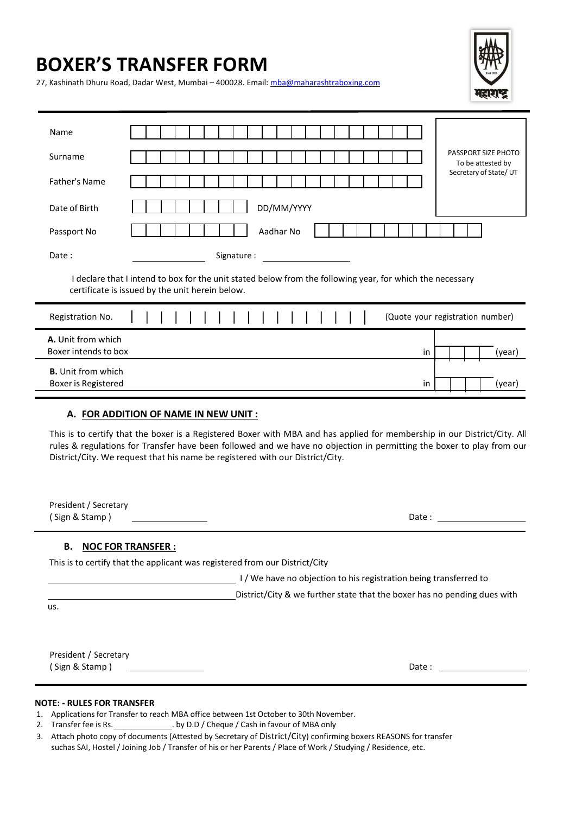# BOXER'S TRANSFER FORM



27, Kashinath Dhuru Road, Dadar West, Mumbai – 400028. Email: mba@maharashtraboxing.com

| Name                                                                                                                                                         |  |
|--------------------------------------------------------------------------------------------------------------------------------------------------------------|--|
| PASSPORT SIZE PHOTO<br>Surname<br>To be attested by                                                                                                          |  |
| Secretary of State/UT<br><b>Father's Name</b>                                                                                                                |  |
| DD/MM/YYYY<br>Date of Birth                                                                                                                                  |  |
| Aadhar No<br>Passport No                                                                                                                                     |  |
| Date:<br>Signature:                                                                                                                                          |  |
| I declare that I intend to box for the unit stated below from the following year, for which the necessary<br>certificate is issued by the unit herein below. |  |
|                                                                                                                                                              |  |
| Registration No.<br>(Quote your registration number)                                                                                                         |  |
| A. Unit from which<br>Boxer intends to box<br>(year)<br>in                                                                                                   |  |
| <b>B.</b> Unit from which<br>Boxer is Registered<br>(year)<br>in                                                                                             |  |
| A. FOR ADDITION OF NAME IN NEW UNIT :                                                                                                                        |  |

rules & regulations for Transfer have been followed and we have no objection in permitting the boxer to play from our District/City. We request that his name be registered with our District/City.

| President / Secretary<br>(Sign & Stamp)                                     | Date:                                                                    |
|-----------------------------------------------------------------------------|--------------------------------------------------------------------------|
| <b>NOC FOR TRANSFER:</b><br>В.                                              |                                                                          |
| This is to certify that the applicant was registered from our District/City |                                                                          |
|                                                                             | I/We have no objection to his registration being transferred to          |
|                                                                             | District/City & we further state that the boxer has no pending dues with |
| us.                                                                         |                                                                          |
|                                                                             |                                                                          |
|                                                                             |                                                                          |
| President / Secretary                                                       |                                                                          |
| Sign & Stamp)                                                               | Date:                                                                    |

#### NOTE: - RULES FOR TRANSFER

- 1. Applications for Transfer to reach MBA office between 1st October to 30th November.
- 2. Transfer fee is Rs. \_\_\_\_\_\_\_\_\_\_\_\_\_\_\_\_. by D.D / Cheque / Cash in favour of MBA only
- 3. Attach photo copy of documents (Attested by Secretary of District/City) confirming boxers REASONS for transfer suchas SAI, Hostel / Joining Job / Transfer of his or her Parents / Place of Work / Studying / Residence, etc.